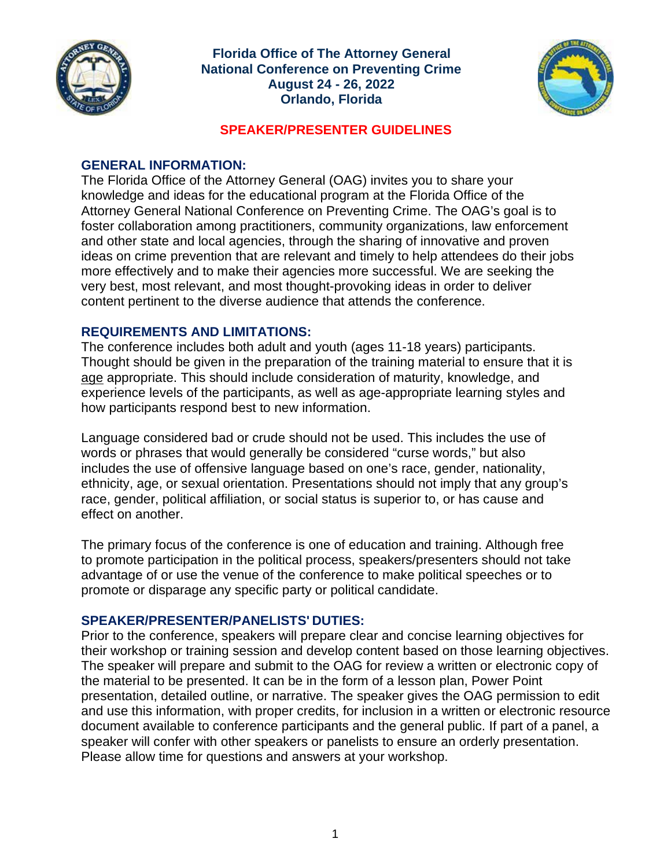

**Florida Office of The Attorney General National Conference on Preventing Crime August 24 - 26, 2022 Orlando, Florida**



#### **SPEAKER/PRESENTER GUIDELINES**

#### **GENERAL INFORMATION:**

The Florida Office of the Attorney General (OAG) invites you to share your knowledge and ideas for the educational program at the Florida Office of the Attorney General National Conference on Preventing Crime. The OAG's goal is to foster collaboration among practitioners, community organizations, law enforcement and other state and local agencies, through the sharing of innovative and proven ideas on crime prevention that are relevant and timely to help attendees do their jobs more effectively and to make their agencies more successful. We are seeking the very best, most relevant, and most thought-provoking ideas in order to deliver content pertinent to the diverse audience that attends the conference.

# **REQUIREMENTS AND LIMITATIONS:**

The conference includes both adult and youth (ages 11-18 years) participants. Thought should be given in the preparation of the training material to ensure that it is age appropriate. This should include consideration of maturity, knowledge, and experience levels of the participants, as well as age-appropriate learning styles and how participants respond best to new information.

Language considered bad or crude should not be used. This includes the use of words or phrases that would generally be considered "curse words," but also includes the use of offensive language based on one's race, gender, nationality, ethnicity, age, or sexual orientation. Presentations should not imply that any group's race, gender, political affiliation, or social status is superior to, or has cause and effect on another.

The primary focus of the conference is one of education and training. Although free to promote participation in the political process, speakers/presenters should not take advantage of or use the venue of the conference to make political speeches or to promote or disparage any specific party or political candidate.

# **SPEAKER/PRESENTER/PANELISTS' DUTIES:**

Prior to the conference, speakers will prepare clear and concise learning objectives for their workshop or training session and develop content based on those learning objectives. The speaker will prepare and submit to the OAG for review a written or electronic copy of the material to be presented. It can be in the form of a lesson plan, Power Point presentation, detailed outline, or narrative. The speaker gives the OAG permission to edit and use this information, with proper credits, for inclusion in a written or electronic resource document available to conference participants and the general public. If part of a panel, a speaker will confer with other speakers or panelists to ensure an orderly presentation. Please allow time for questions and answers at your workshop.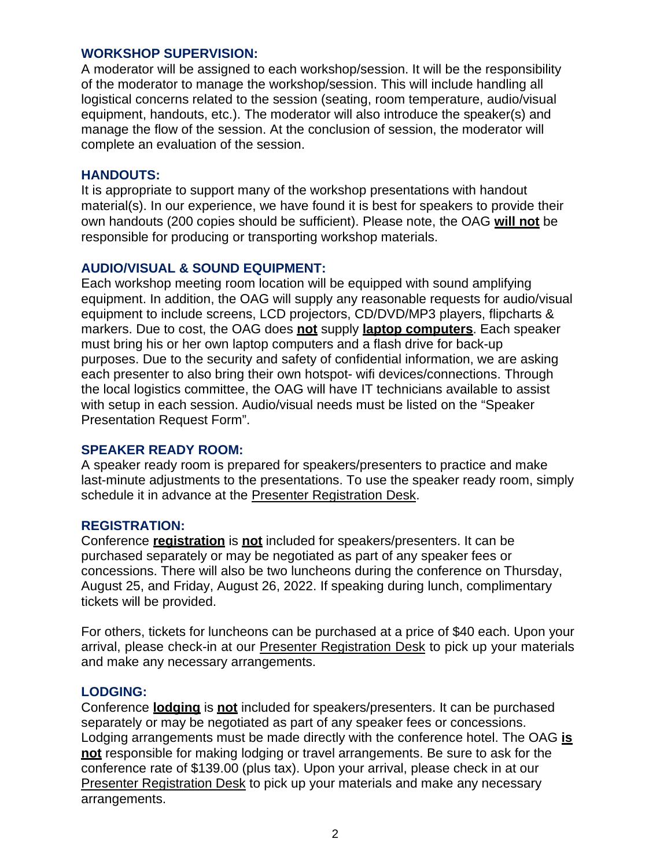#### **WORKSHOP SUPERVISION:**

A moderator will be assigned to each workshop/session. It will be the responsibility of the moderator to manage the workshop/session. This will include handling all logistical concerns related to the session (seating, room temperature, audio/visual equipment, handouts, etc.). The moderator will also introduce the speaker(s) and manage the flow of the session. At the conclusion of session, the moderator will complete an evaluation of the session.

#### **HANDOUTS:**

It is appropriate to support many of the workshop presentations with handout material(s). In our experience, we have found it is best for speakers to provide their own handouts (200 copies should be sufficient). Please note, the OAG **will not** be responsible for producing or transporting workshop materials.

# **AUDIO/VISUAL & SOUND EQUIPMENT:**

Each workshop meeting room location will be equipped with sound amplifying equipment. In addition, the OAG will supply any reasonable requests for audio/visual equipment to include screens, LCD projectors, CD/DVD/MP3 players, flipcharts & markers. Due to cost, the OAG does **not** supply **laptop computers**. Each speaker must bring his or her own laptop computers and a flash drive for back-up purposes. Due to the security and safety of confidential information, we are asking each presenter to also bring their own hotspot- wifi devices/connections. Through the local logistics committee, the OAG will have IT technicians available to assist with setup in each session. Audio/visual needs must be listed on the "Speaker Presentation Request Form".

# **SPEAKER READY ROOM:**

A speaker ready room is prepared for speakers/presenters to practice and make last-minute adjustments to the presentations. To use the speaker ready room, simply schedule it in advance at the Presenter Registration Desk.

# **REGISTRATION:**

Conference **registration** is **not** included for speakers/presenters. It can be purchased separately or may be negotiated as part of any speaker fees or concessions. There will also be two luncheons during the conference on Thursday, August 25, and Friday, August 26, 2022. If speaking during lunch, complimentary tickets will be provided.

For others, tickets for luncheons can be purchased at a price of \$40 each. Upon your arrival, please check-in at our Presenter Registration Desk to pick up your materials and make any necessary arrangements.

# **LODGING:**

Conference **lodging** is **not** included for speakers/presenters. It can be purchased separately or may be negotiated as part of any speaker fees or concessions. Lodging arrangements must be made directly with the conference hotel. The OAG **is not** responsible for making lodging or travel arrangements. Be sure to ask for the conference rate of \$139.00 (plus tax). Upon your arrival, please check in at our Presenter Registration Desk to pick up your materials and make any necessary arrangements.